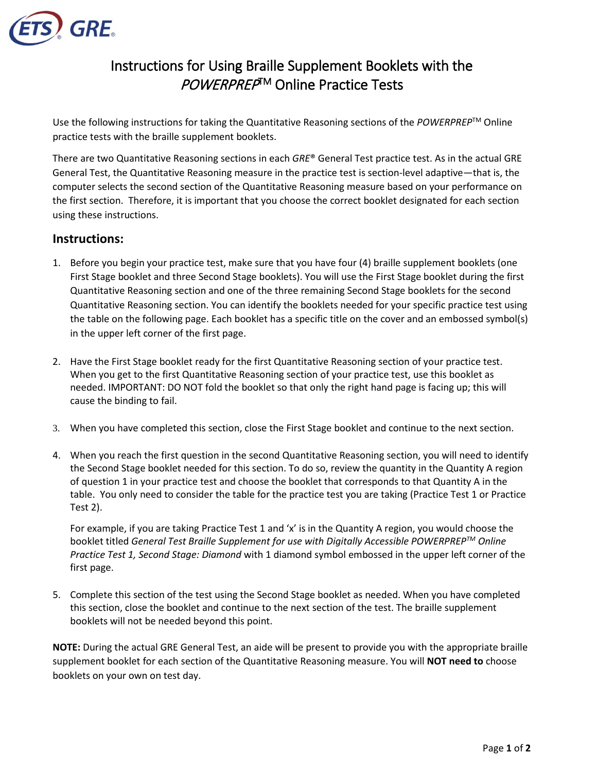

## Instructions for Using Braille Supplement Booklets with the POWERPREP™ Online Practice Tests

Use the following instructions for taking the Quantitative Reasoning sections of the *POWERPREP*TM Online practice tests with the braille supplement booklets.

There are two Quantitative Reasoning sections in each *GRE*® General Test practice test. As in the actual GRE General Test, the Quantitative Reasoning measure in the practice test is section-level adaptive—that is, the computer selects the second section of the Quantitative Reasoning measure based on your performance on the first section. Therefore, it is important that you choose the correct booklet designated for each section using these instructions.

## **Instructions:**

- 1. Before you begin your practice test, make sure that you have four (4) braille supplement booklets (one First Stage booklet and three Second Stage booklets). You will use the First Stage booklet during the first Quantitative Reasoning section and one of the three remaining Second Stage booklets for the second Quantitative Reasoning section. You can identify the booklets needed for your specific practice test using the table on the following page. Each booklet has a specific title on the cover and an embossed symbol(s) in the upper left corner of the first page.
- 2. Have the First Stage booklet ready for the first Quantitative Reasoning section of your practice test. When you get to the first Quantitative Reasoning section of your practice test, use this booklet as needed. IMPORTANT: DO NOT fold the booklet so that only the right hand page is facing up; this will cause the binding to fail.
- 3. When you have completed this section, close the First Stage booklet and continue to the next section.
- 4. When you reach the first question in the second Quantitative Reasoning section, you will need to identify the Second Stage booklet needed for this section. To do so, review the quantity in the Quantity A region of question 1 in your practice test and choose the booklet that corresponds to that Quantity A in the table. You only need to consider the table for the practice test you are taking (Practice Test 1 or Practice Test 2).

For example, if you are taking Practice Test 1 and 'x' is in the Quantity A region, you would choose the booklet titled *General Test Braille Supplement for use with Digitally Accessible POWERPREPTM Online Practice Test 1, Second Stage: Diamond* with 1 diamond symbol embossed in the upper left corner of the first page.

5. Complete this section of the test using the Second Stage booklet as needed. When you have completed this section, close the booklet and continue to the next section of the test. The braille supplement booklets will not be needed beyond this point.

**NOTE:** During the actual GRE General Test, an aide will be present to provide you with the appropriate braille supplement booklet for each section of the Quantitative Reasoning measure. You will **NOT need to** choose booklets on your own on test day.